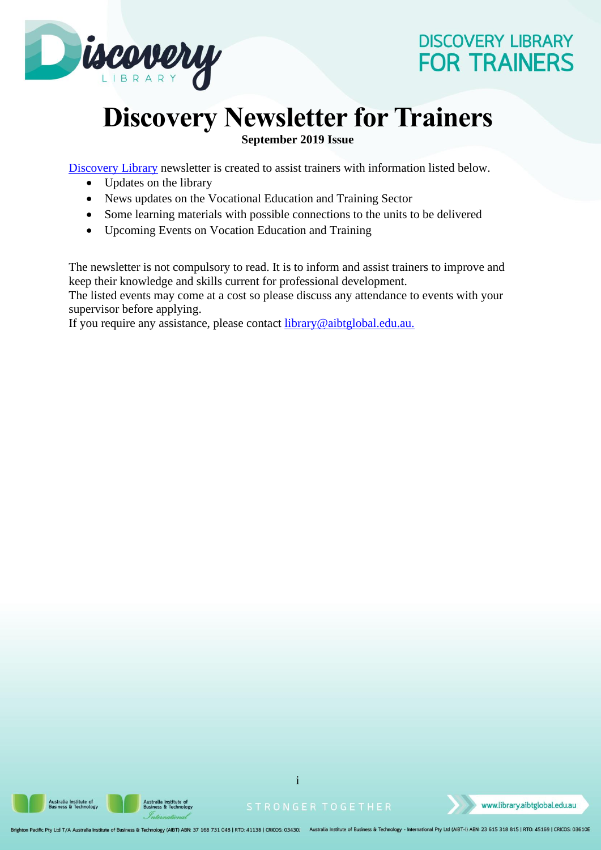

# **Discovery Newsletter for Trainers**

**September 2019 Issue**

[Discovery Library](https://library.aibtglobal.edu.au/?utm_source=greenbar&utm_medium=url) newsletter is created to assist trainers with information listed below.

- Updates on the library
- News updates on the Vocational Education and Training Sector
- Some learning materials with possible connections to the units to be delivered
- Upcoming Events on Vocation Education and Training

The newsletter is not compulsory to read. It is to inform and assist trainers to improve and keep their knowledge and skills current for professional development. The listed events may come at a cost so please discuss any attendance to events with your supervisor before applying.

If you require any assistance, please contact **library@aibtglobal.edu.au.** 





i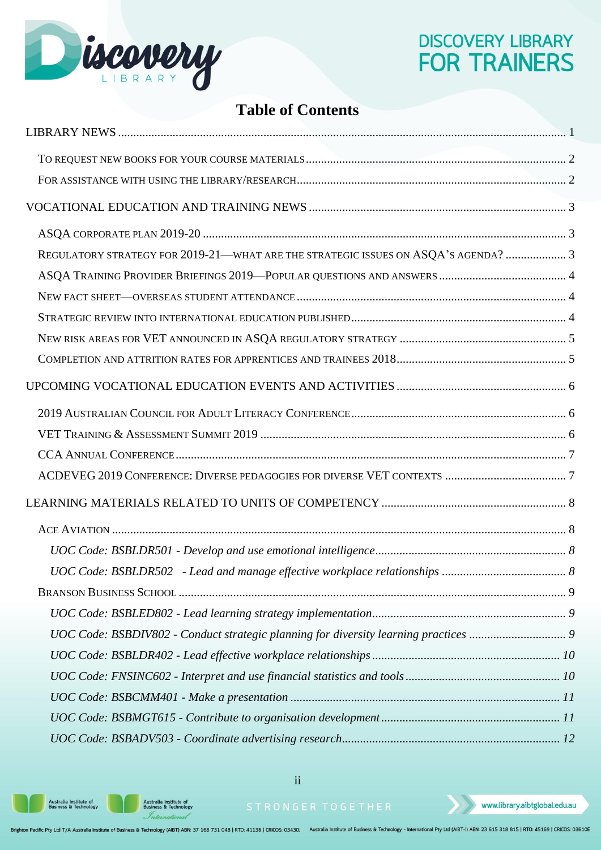

## **Table of Contents**

| REGULATORY STRATEGY FOR 2019-21-WHAT ARE THE STRATEGIC ISSUES ON ASQA'S AGENDA?  3 |  |
|------------------------------------------------------------------------------------|--|
|                                                                                    |  |
|                                                                                    |  |
|                                                                                    |  |
|                                                                                    |  |
|                                                                                    |  |
|                                                                                    |  |
|                                                                                    |  |
|                                                                                    |  |
|                                                                                    |  |
|                                                                                    |  |
|                                                                                    |  |
|                                                                                    |  |
|                                                                                    |  |
|                                                                                    |  |
|                                                                                    |  |
|                                                                                    |  |
|                                                                                    |  |
|                                                                                    |  |
|                                                                                    |  |
|                                                                                    |  |
|                                                                                    |  |
|                                                                                    |  |

**Australia Institute of<br>Business & Technology** 

Australia Institute of<br>Business & Technology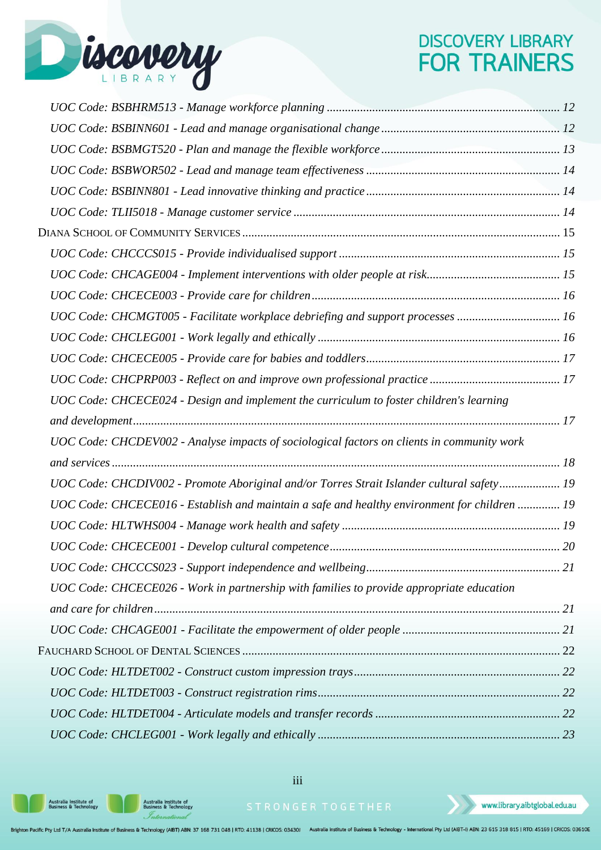

| UOC Code: CHCECE024 - Design and implement the curriculum to foster children's learning      |  |
|----------------------------------------------------------------------------------------------|--|
|                                                                                              |  |
| UOC Code: CHCDEV002 - Analyse impacts of sociological factors on clients in community work   |  |
|                                                                                              |  |
| UOC Code: CHCDIV002 - Promote Aboriginal and/or Torres Strait Islander cultural safety 19    |  |
|                                                                                              |  |
| UOC Code: CHCECE016 - Establish and maintain a safe and healthy environment for children  19 |  |
|                                                                                              |  |
|                                                                                              |  |
|                                                                                              |  |
| UOC Code: CHCECE026 - Work in partnership with families to provide appropriate education     |  |
|                                                                                              |  |
|                                                                                              |  |
|                                                                                              |  |
|                                                                                              |  |
|                                                                                              |  |
|                                                                                              |  |

iii

Australia Institute of<br>Business & Technology

Australia Institute of<br>Business & Technology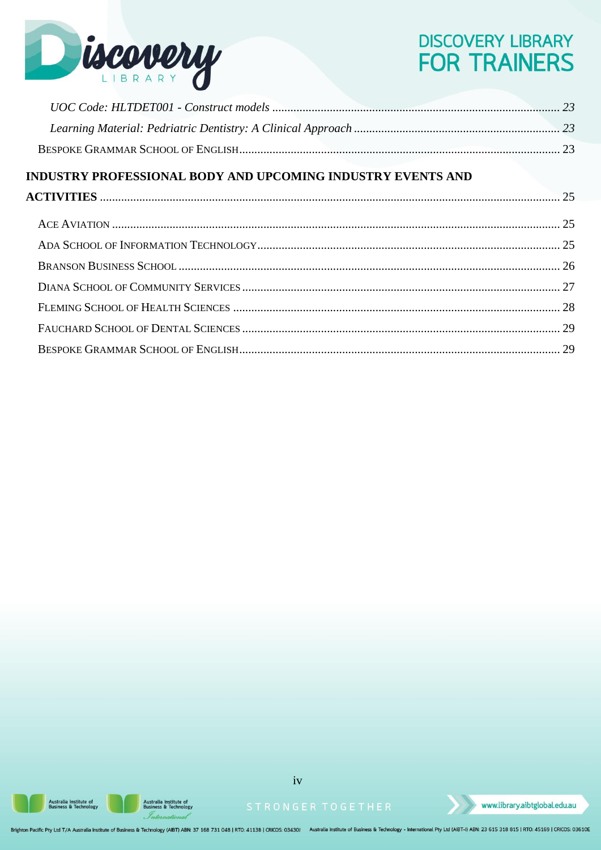

| <b>INDUSTRY PROFESSIONAL BODY AND UPCOMING INDUSTRY EVENTS AND</b> |  |
|--------------------------------------------------------------------|--|
|                                                                    |  |
|                                                                    |  |
|                                                                    |  |
|                                                                    |  |
|                                                                    |  |
|                                                                    |  |
|                                                                    |  |
|                                                                    |  |

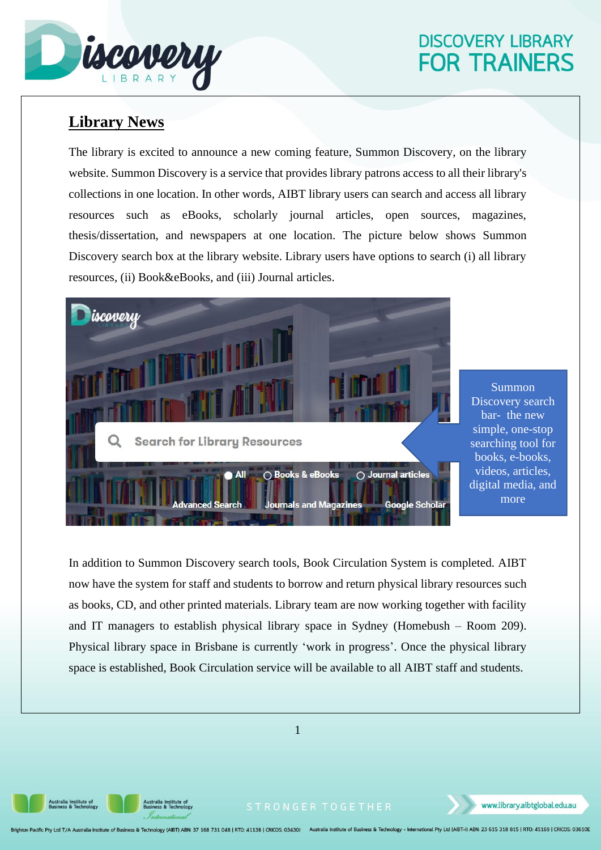

## <span id="page-4-0"></span>**Library News**

The library is excited to announce a new coming feature, Summon Discovery, on the library website. Summon Discovery is a service that provides library patrons access to all their library's collections in one location. In other words, AIBT library users can search and access all library resources such as eBooks, scholarly journal articles, open sources, magazines, thesis/dissertation, and newspapers at one location. The picture below shows Summon Discovery search box at the library website. Library users have options to search (i) all library resources, (ii) Book&eBooks, and (iii) Journal articles.



Summon Discovery search bar- the new simple, one-stop searching tool for books, e-books, videos, articles, digital media, and more

In addition to Summon Discovery search tools, Book Circulation System is completed. AIBT now have the system for staff and students to borrow and return physical library resources such as books, CD, and other printed materials. Library team are now working together with facility and IT managers to establish physical library space in Sydney (Homebush – Room 209). Physical library space in Brisbane is currently 'work in progress'. Once the physical library space is established, Book Circulation service will be available to all AIBT staff and students.



**Australia Institute of<br>Business & Technology** 

Australia Institute of<br>Business & Technology

www.library.aibtglobal.edu.au

n Pacific Pty Ltd T/A Australia Institute of Business & Technology (AIBT) ABN: 37 168 731 048 | RTO: 41138 | CRICOS: 03430J Australia Institute of Business & Technology - International Pty Ltd (AIBT-I) ABN: 23 615 318 815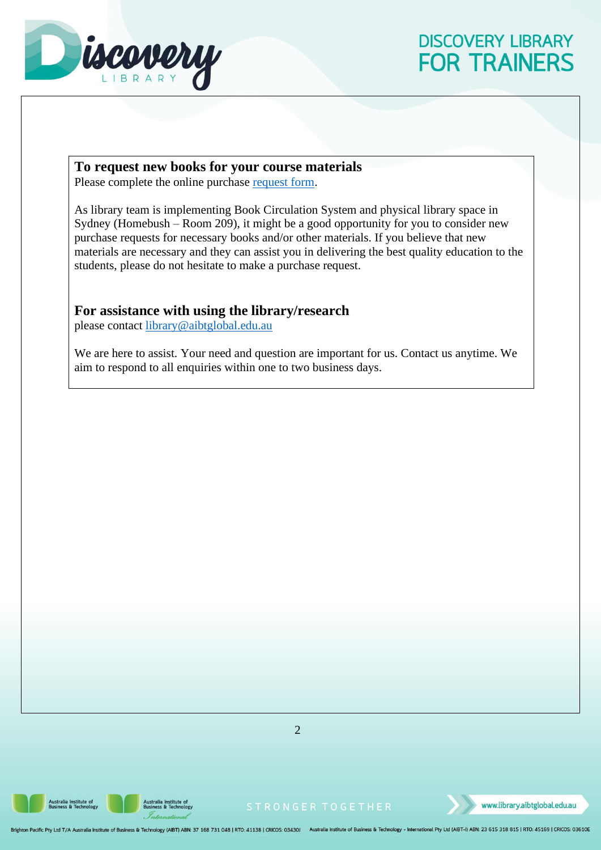

#### <span id="page-5-0"></span>**To request new books for your course materials**

Please complete the online purchase [request form.](https://library.aibtglobal.edu.au/library-services/purchase-request/)

As library team is implementing Book Circulation System and physical library space in Sydney (Homebush – Room 209), it might be a good opportunity for you to consider new purchase requests for necessary books and/or other materials. If you believe that new materials are necessary and they can assist you in delivering the best quality education to the students, please do not hesitate to make a purchase request.

#### <span id="page-5-1"></span>**For assistance with using the library/research**

please contact [library@aibtglobal.edu.au](file:///C:/Users/w.hitchcock/AppData/Local/Microsoft/Windows/INetCache/Content.Outlook/P9KC1WA5/library@aibtglobal.edu.au)

We are here to assist. Your need and question are important for us. Contact us anytime. We aim to respond to all enquiries within one to two business days.



Australia Institute of<br>Business & Technology



www.library.aibtglobal.edu.au

on Pacific Pty Ltd T/A Australia Institute of Business & Technology (AIBT) ABN: 37 168 731 048 | RTO: 41138 | CRICOS: 03430) Australia Institute of Business & Technology - International Pty Ltd (AIBT-I) ABN: 23 615 318 815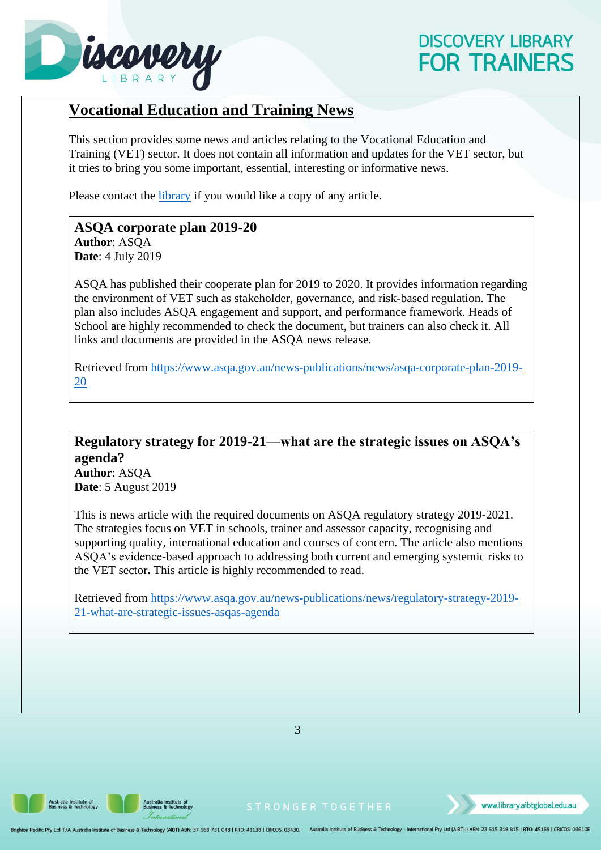

#### <span id="page-6-0"></span>**Vocational Education and Training News**

This section provides some news and articles relating to the Vocational Education and Training (VET) sector. It does not contain all information and updates for the VET sector, but it tries to bring you some important, essential, interesting or informative news.

Please contact the *library* if you would like a copy of any article.

#### <span id="page-6-1"></span>**ASQA corporate plan 2019-20 Author**: ASQA **Date**: 4 July 2019

ASQA has published their cooperate plan for 2019 to 2020. It provides information regarding the environment of VET such as stakeholder, governance, and risk-based regulation. The plan also includes ASQA engagement and support, and performance framework. Heads of School are highly recommended to check the document, but trainers can also check it. All links and documents are provided in the ASQA news release.

Retrieved from [https://www.asqa.gov.au/news-publications/news/asqa-corporate-plan-2019-](https://www.asqa.gov.au/news-publications/news/asqa-corporate-plan-2019-20) [20](https://www.asqa.gov.au/news-publications/news/asqa-corporate-plan-2019-20)

### <span id="page-6-2"></span>**Regulatory strategy for 2019-21—what are the strategic issues on ASQA's agenda?**

**Author**: ASQA **Date**: 5 August 2019

This is news article with the required documents on ASQA regulatory strategy 2019-2021. The strategies focus on VET in schools, trainer and assessor capacity, recognising and supporting quality, international education and courses of concern. The article also mentions ASQA's evidence-based approach to addressing both current and emerging systemic risks to the VET sector**.** This article is highly recommended to read.

Retrieved from [https://www.asqa.gov.au/news-publications/news/regulatory-strategy-2019-](https://www.asqa.gov.au/news-publications/news/regulatory-strategy-2019-21-what-are-strategic-issues-asqas-agenda) [21-what-are-strategic-issues-asqas-agenda](https://www.asqa.gov.au/news-publications/news/regulatory-strategy-2019-21-what-are-strategic-issues-asqas-agenda)

3

Australia Institute of<br>Business & Technology

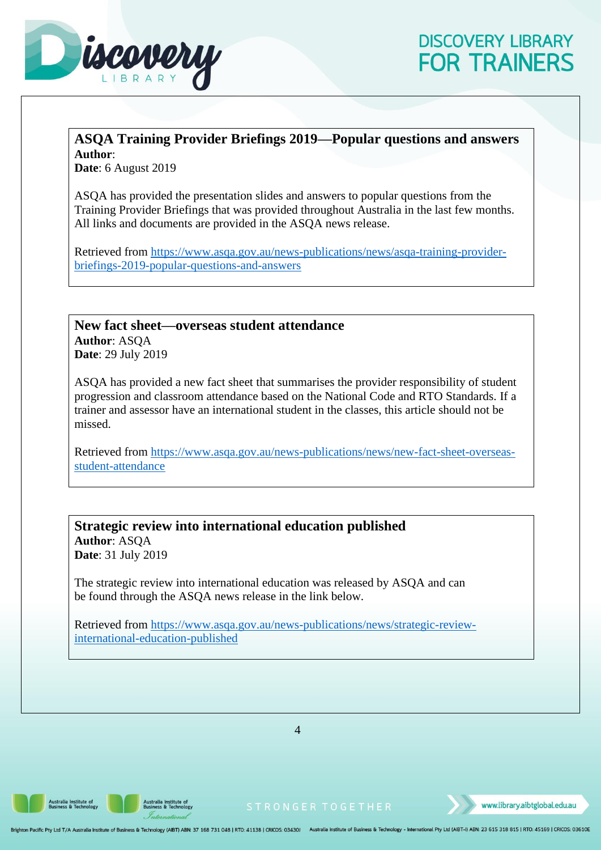

#### <span id="page-7-0"></span>**ASQA Training Provider Briefings 2019—Popular questions and answers Author**:

**Date**: 6 August 2019

ASQA has provided the presentation slides and answers to popular questions from the Training Provider Briefings that was provided throughout Australia in the last few months. All links and documents are provided in the ASQA news release.

Retrieved from [https://www.asqa.gov.au/news-publications/news/asqa-training-provider](https://www.asqa.gov.au/news-publications/news/asqa-training-provider-briefings-2019-popular-questions-and-answers)[briefings-2019-popular-questions-and-answers](https://www.asqa.gov.au/news-publications/news/asqa-training-provider-briefings-2019-popular-questions-and-answers)

<span id="page-7-1"></span>**New fact sheet—overseas student attendance Author**: ASQA **Date**: 29 July 2019

ASQA has provided a new fact sheet that summarises the provider responsibility of student progression and classroom attendance based on the National Code and RTO Standards. If a trainer and assessor have an international student in the classes, this article should not be missed.

Retrieved from [https://www.asqa.gov.au/news-publications/news/new-fact-sheet-overseas](https://www.asqa.gov.au/news-publications/news/new-fact-sheet-overseas-student-attendance)[student-attendance](https://www.asqa.gov.au/news-publications/news/new-fact-sheet-overseas-student-attendance)

<span id="page-7-2"></span>**Strategic review into international education published Author**: ASQA **Date**: 31 July 2019

The strategic review into international education was released by ASQA and can be found through the ASQA news release in the link below.

Retrieved from [https://www.asqa.gov.au/news-publications/news/strategic-review](https://www.asqa.gov.au/news-publications/news/strategic-review-international-education-published)[international-education-published](https://www.asqa.gov.au/news-publications/news/strategic-review-international-education-published)

4

**Australia Institute of<br>Business & Technology** 

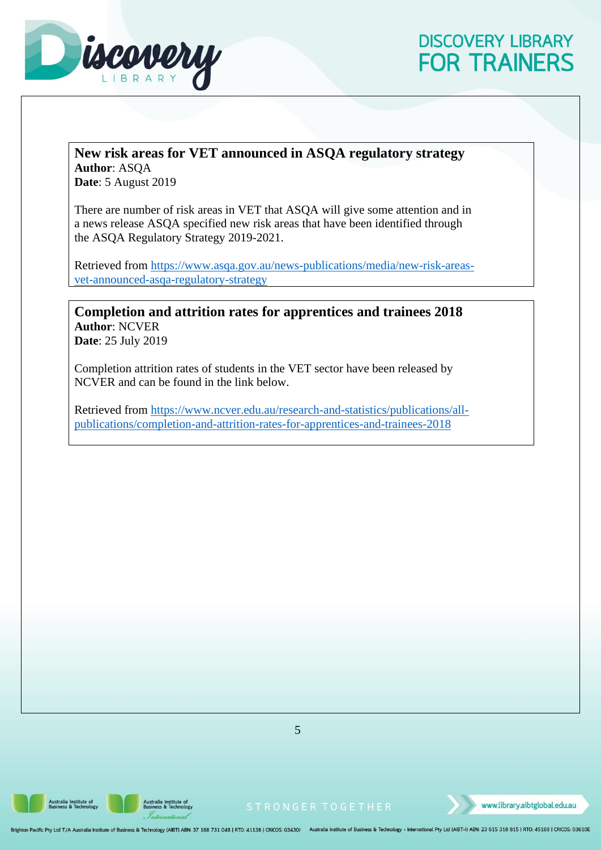

#### <span id="page-8-0"></span>**New risk areas for VET announced in ASQA regulatory strategy Author**: ASQA **Date**: 5 August 2019

There are number of risk areas in VET that ASQA will give some attention and in a news release ASQA specified new risk areas that have been identified through the ASQA Regulatory Strategy 2019-2021.

Retrieved from [https://www.asqa.gov.au/news-publications/media/new-risk-areas](https://www.asqa.gov.au/news-publications/media/new-risk-areas-vet-announced-asqa-regulatory-strategy)[vet-announced-asqa-regulatory-strategy](https://www.asqa.gov.au/news-publications/media/new-risk-areas-vet-announced-asqa-regulatory-strategy)

<span id="page-8-1"></span>**Completion and attrition rates for apprentices and trainees 2018 Author**: NCVER **Date**: 25 July 2019

Completion attrition rates of students in the VET sector have been released by NCVER and can be found in the link below.

Retrieved from [https://www.ncver.edu.au/research-and-statistics/publications/all](https://www.ncver.edu.au/research-and-statistics/publications/all-publications/completion-and-attrition-rates-for-apprentices-and-trainees-2018)[publications/completion-and-attrition-rates-for-apprentices-and-trainees-2018](https://www.ncver.edu.au/research-and-statistics/publications/all-publications/completion-and-attrition-rates-for-apprentices-and-trainees-2018)

5

**Australia Institute of<br>Business & Technology** 

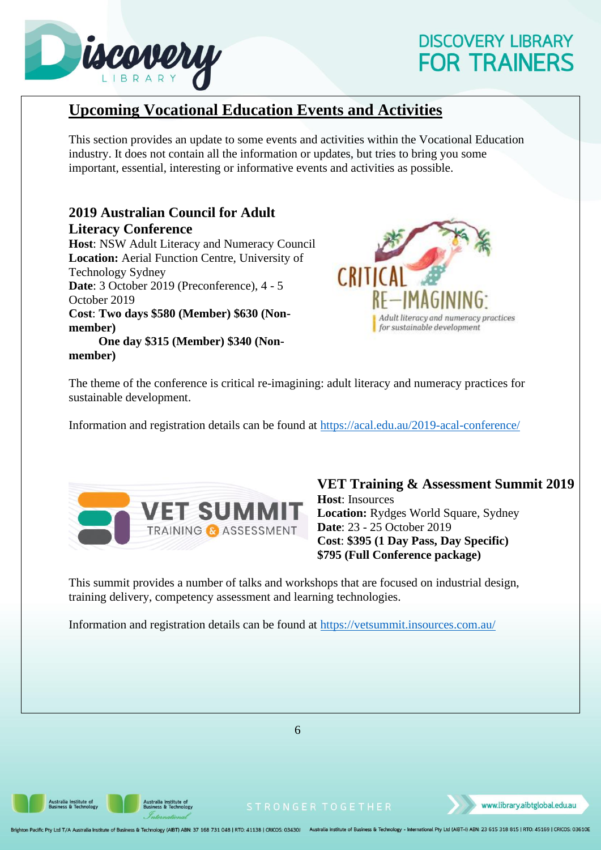

**member)**

# **DISCOVERY LIBRARY FOR TRAINERS**

### <span id="page-9-0"></span>**Upcoming Vocational Education Events and Activities**

This section provides an update to some events and activities within the Vocational Education industry. It does not contain all the information or updates, but tries to bring you some important, essential, interesting or informative events and activities as possible.

#### <span id="page-9-1"></span>**2019 Australian Council for Adult Literacy Conference**

**Host**: NSW Adult Literacy and Numeracy Council **Location:** Aerial Function Centre, University of Technology Sydney **Date**: 3 October 2019 (Preconference), 4 - 5 October 2019 **Cost**: **Two days \$580 (Member) \$630 (Nonmember) One day \$315 (Member) \$340 (Non-**



The theme of the conference is critical re-imagining: adult literacy and numeracy practices for sustainable development.

Information and registration details can be found at<https://acal.edu.au/2019-acal-conference/>



<span id="page-9-2"></span>**VET Training & Assessment Summit 2019 Host**: Insources **Location:** Rydges World Square, Sydney **Date**: 23 - 25 October 2019 **Cost**: **\$395 (1 Day Pass, Day Specific) \$795 (Full Conference package)**

This summit provides a number of talks and workshops that are focused on industrial design, training delivery, competency assessment and learning technologies.

Information and registration details can be found at<https://vetsummit.insources.com.au/>



ustralia Institute of<br>usiness & Technology

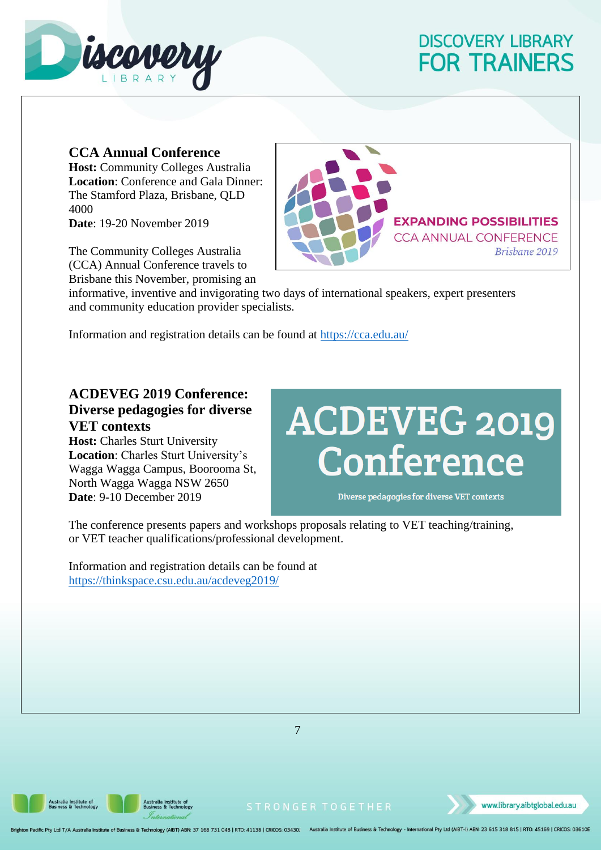

#### <span id="page-10-0"></span>**CCA Annual Conference**

**Host:** Community Colleges Australia **Location**: Conference and Gala Dinner: The Stamford Plaza, Brisbane, QLD 4000 **Date**: 19-20 November 2019

The Community Colleges Australia (CCA) Annual Conference travels to Brisbane this November, promising an



informative, inventive and invigorating two days of international speakers, expert presenters and community education provider specialists.

Information and registration details can be found at<https://cca.edu.au/>

#### <span id="page-10-1"></span>**ACDEVEG 2019 Conference: Diverse pedagogies for diverse VET contexts**

**Host:** Charles Sturt University **Location**: Charles Sturt University's Wagga Wagga Campus, Boorooma St, North Wagga Wagga NSW 2650 **Date**: 9-10 December 2019

# **ACDEVEG 2019<br>Conference**

Diverse pedagogies for diverse VET contexts

The conference presents papers and workshops proposals relating to VET teaching/training, or VET teacher qualifications/professional development.

Information and registration details can be found at <https://thinkspace.csu.edu.au/acdeveg2019/>

7

**Australia Institute of<br>Business & Technology** 



www.library.aibtglobal.edu.au

on Pacific Pty Ltd T/A Australia Institute of Business & Technology (AIBT) ABN: 37 168 731 048 | RTO: 41138 | CRICOS: 03430J Australia Institute of Business & Technology - International Pty Ltd (AIBT-I) ABN: 23 615 318 815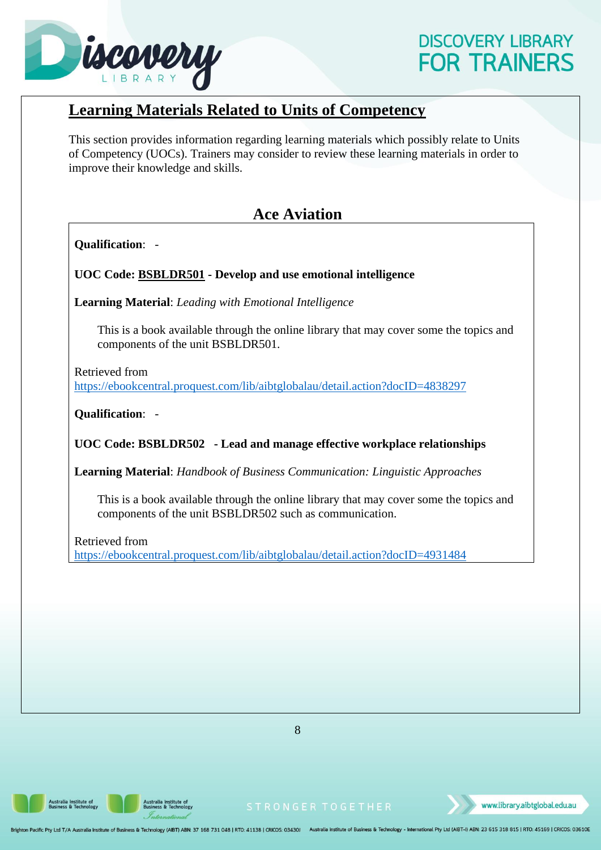

### <span id="page-11-0"></span>**Learning Materials Related to Units of Competency**

This section provides information regarding learning materials which possibly relate to Units of Competency (UOCs). Trainers may consider to review these learning materials in order to improve their knowledge and skills.

### **Ace Aviation**

<span id="page-11-1"></span>**Qualification**: -

<span id="page-11-2"></span>**UOC Code: BSBLDR501 - Develop and use emotional intelligence**

**Learning Material**: *Leading with Emotional Intelligence*

This is a book available through the online library that may cover some the topics and components of the unit BSBLDR501.

Retrieved from <https://ebookcentral.proquest.com/lib/aibtglobalau/detail.action?docID=4838297>

**Qualification**: -

<span id="page-11-3"></span>**UOC Code: BSBLDR502 - Lead and manage effective workplace relationships**

**Learning Material**: *Handbook of Business Communication: Linguistic Approaches*

This is a book available through the online library that may cover some the topics and components of the unit BSBLDR502 such as communication.

Retrieved from <https://ebookcentral.proquest.com/lib/aibtglobalau/detail.action?docID=4931484>

8

**Australia Institute of<br>Business & Technology** 

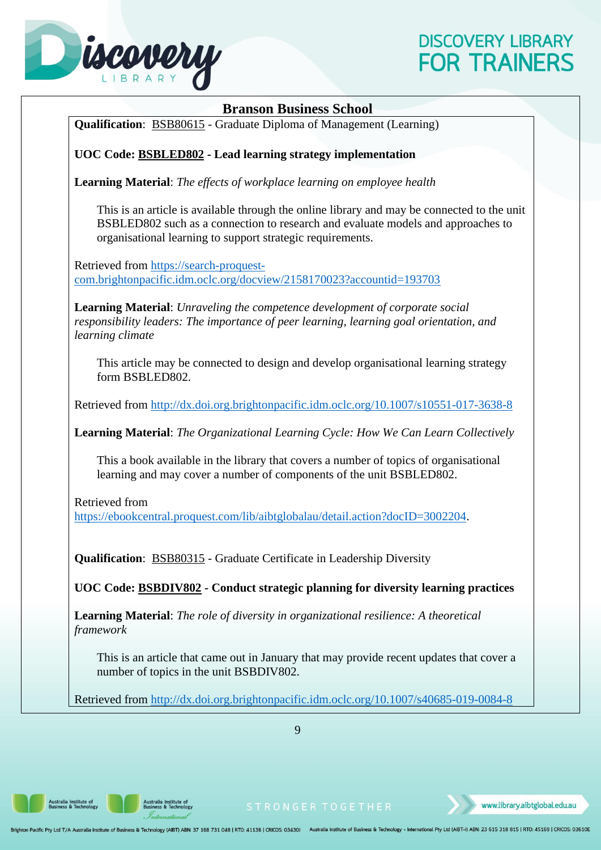

#### **Branson Business School**

<span id="page-12-0"></span>**Qualification**: BSB80615 - Graduate Diploma of Management (Learning)

#### <span id="page-12-1"></span>**UOC Code: BSBLED802 - Lead learning strategy implementation**

**Learning Material**: *The effects of workplace learning on employee health*

This is an article is available through the online library and may be connected to the unit BSBLED802 such as a connection to research and evaluate models and approaches to organisational learning to support strategic requirements.

Retrieved from [https://search-proquest](https://search-proquest-com.brightonpacific.idm.oclc.org/docview/2158170023?accountid=193703)[com.brightonpacific.idm.oclc.org/docview/2158170023?accountid=193703](https://search-proquest-com.brightonpacific.idm.oclc.org/docview/2158170023?accountid=193703)

**Learning Material**: *Unraveling the competence development of corporate social responsibility leaders: The importance of peer learning, learning goal orientation, and learning climate*

This article may be connected to design and develop organisational learning strategy form BSBLED802.

Retrieved from<http://dx.doi.org.brightonpacific.idm.oclc.org/10.1007/s10551-017-3638-8>

**Learning Material**: *The Organizational Learning Cycle: How We Can Learn Collectively*

This a book available in the library that covers a number of topics of organisational learning and may cover a number of components of the unit BSBLED802.

Retrieved from

[https://ebookcentral.proquest.com/lib/aibtglobalau/detail.action?docID=3002204.](https://ebookcentral.proquest.com/lib/aibtglobalau/detail.action?docID=3002204)

**Qualification**: BSB80315 - Graduate Certificate in Leadership Diversity

<span id="page-12-2"></span>**UOC Code: BSBDIV802 - Conduct strategic planning for diversity learning practices**

**Learning Material**: *The role of diversity in organizational resilience: A theoretical framework*

This is an article that came out in January that may provide recent updates that cover a number of topics in the unit BSBDIV802.

Retrieved from<http://dx.doi.org.brightonpacific.idm.oclc.org/10.1007/s40685-019-0084-8>

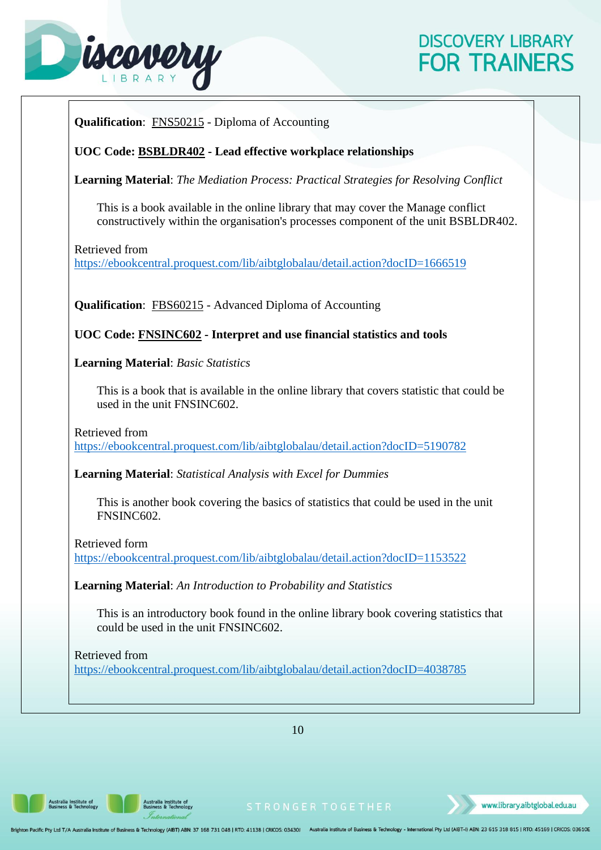

<span id="page-13-1"></span><span id="page-13-0"></span>

10

**Australia Institute of<br>Business & Technology** 

n Pacific Pty Ltd T/A Australia Institute of Business & Technology (AIBT) ABN: 37 168 731 048 | RTO: 41138 | CRICOS: 03430J Australia Institute of Business & Technology - International Pty Ltd (AIBT-I) ABN: 23 615 318 815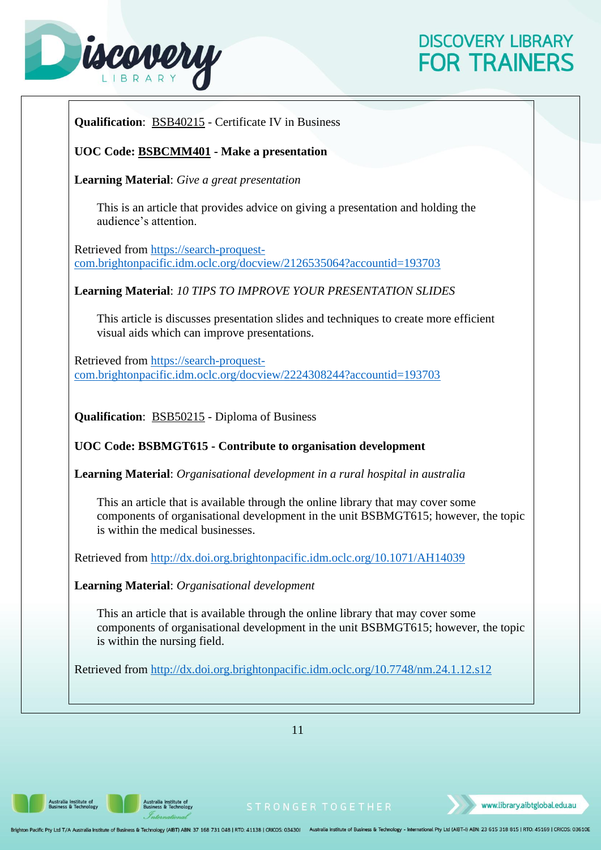# iscovery

# **DISCOVERY LIBRARY FOR TRAINERS**

<span id="page-14-1"></span><span id="page-14-0"></span>

11

.<br>Australia Institute of<br>Business & Technology

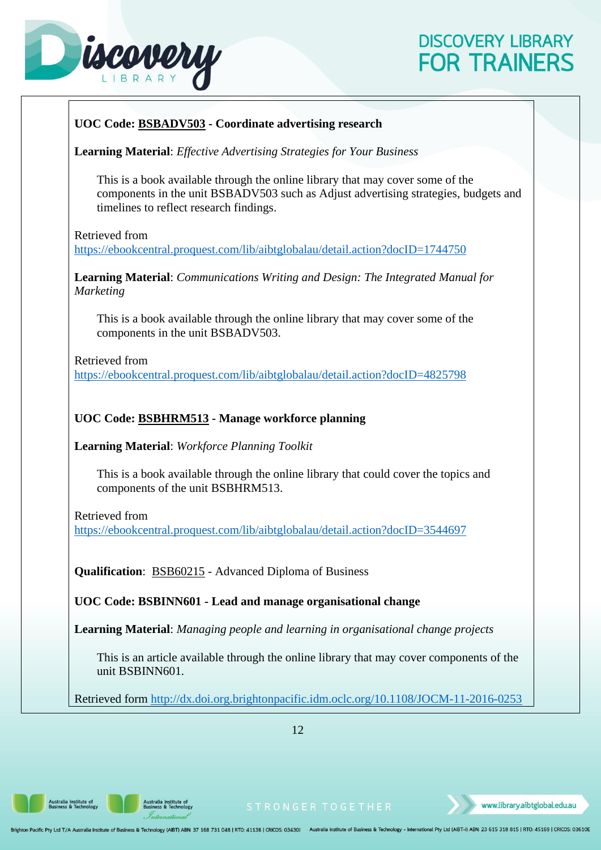

# <span id="page-15-1"></span><span id="page-15-0"></span>**UOC Code: BSBADV503 - Coordinate advertising research Learning Material**: *Effective Advertising Strategies for Your Business* This is a book available through the online library that may cover some of the components in the unit BSBADV503 such as Adjust advertising strategies, budgets and timelines to reflect research findings. Retrieved from <https://ebookcentral.proquest.com/lib/aibtglobalau/detail.action?docID=1744750> **Learning Material**: *Communications Writing and Design: The Integrated Manual for Marketing* This is a book available through the online library that may cover some of the components in the unit BSBADV503. Retrieved from <https://ebookcentral.proquest.com/lib/aibtglobalau/detail.action?docID=4825798> **UOC Code: BSBHRM513 - Manage workforce planning Learning Material**: *Workforce Planning Toolkit* This is a book available through the online library that could cover the topics and components of the unit BSBHRM513. Retrieved from <https://ebookcentral.proquest.com/lib/aibtglobalau/detail.action?docID=3544697> **Qualification**: BSB60215 - Advanced Diploma of Business **UOC Code: BSBINN601 - Lead and manage organisational change Learning Material**: *Managing people and learning in organisational change projects* This is an article available through the online library that may cover components of the unit BSBINN601. Retrieved form<http://dx.doi.org.brightonpacific.idm.oclc.org/10.1108/JOCM-11-2016-0253>

12

<span id="page-15-2"></span>**Australia Institute of<br>Business & Technology** 

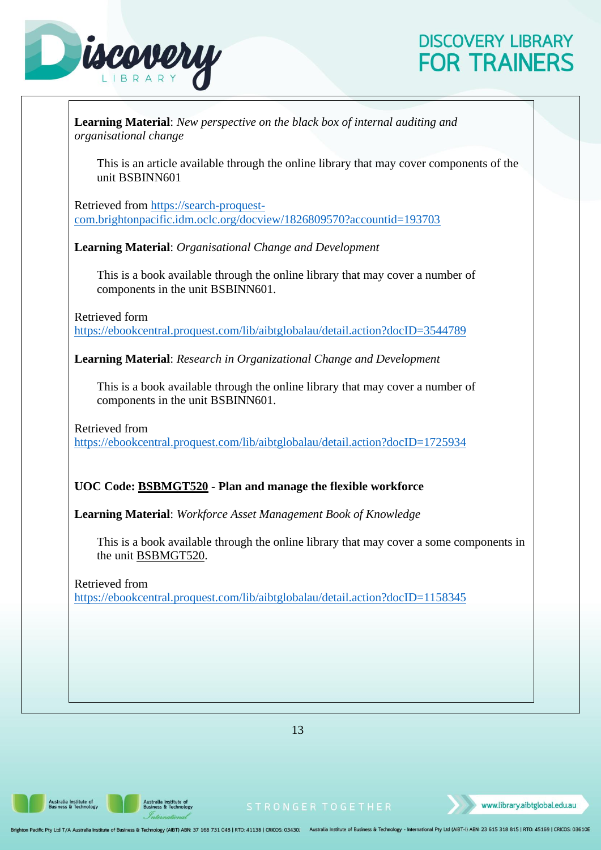# iscovery

# **DISCOVERY LIBRARY FOR TRAINERS**

| <b>Learning Material:</b> New perspective on the black box of internal auditing and<br>organisational change        |  |
|---------------------------------------------------------------------------------------------------------------------|--|
| This is an article available through the online library that may cover components of the<br>unit BSBINN601          |  |
| Retrieved from https://search-proquest-<br>com.brightonpacific.idm.oclc.org/docview/1826809570?accountid=193703     |  |
| <b>Learning Material:</b> Organisational Change and Development                                                     |  |
| This is a book available through the online library that may cover a number of<br>components in the unit BSBINN601. |  |
| Retrieved form<br>https://ebookcentral.proquest.com/lib/aibtglobalau/detail.action?docID=3544789                    |  |
| Learning Material: Research in Organizational Change and Development                                                |  |
| This is a book available through the online library that may cover a number of<br>components in the unit BSBINN601. |  |
| Retrieved from<br>https://ebookcentral.proquest.com/lib/aibtglobalau/detail.action?docID=1725934                    |  |
| UOC Code: <b>BSBMGT520</b> - Plan and manage the flexible workforce                                                 |  |
| Learning Material: Workforce Asset Management Book of Knowledge                                                     |  |
| This is a book available through the online library that may cover a some components in<br>the unit BSBMGT520.      |  |
| Retrieved from<br>https://ebookcentral.proquest.com/lib/aibtglobalau/detail.action?docID=1158345                    |  |
|                                                                                                                     |  |
|                                                                                                                     |  |
|                                                                                                                     |  |
|                                                                                                                     |  |

13

<span id="page-16-0"></span>Australia Institute of<br>Business & Technology

Australia Institute of<br>Business & Technology

www.library.aibtglobal.edu.au

Brighton Pacific Pty Ltd T/A Australia Institute of Business & Technology (AIBT) ABN: 37 168 731 048 | RTO: 41138 | CRICOS: 03430J Australia Institute of Business & Technology - International Pty Ltd (AIBT-I) ABN: 23 615 3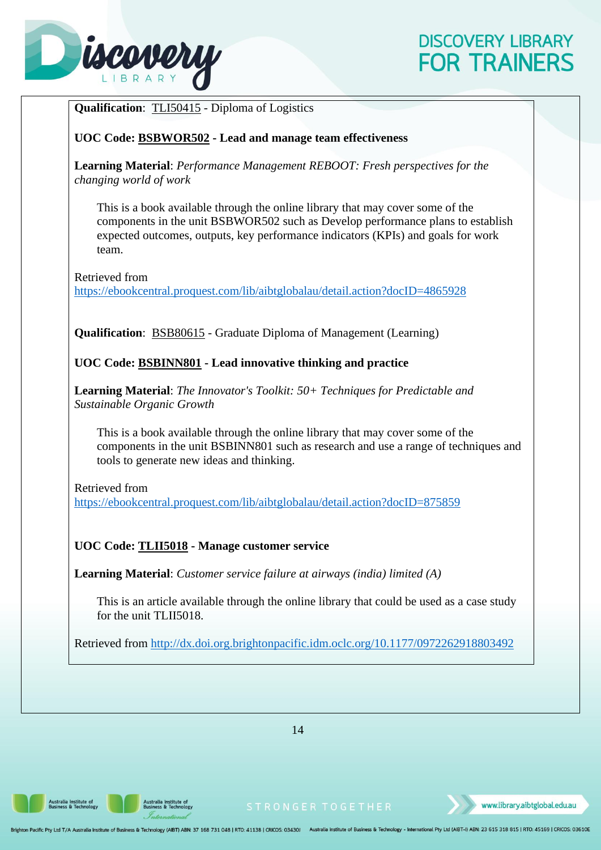

<span id="page-17-1"></span><span id="page-17-0"></span>

14

<span id="page-17-2"></span>ustralia Institute of<br>usiness & Technology

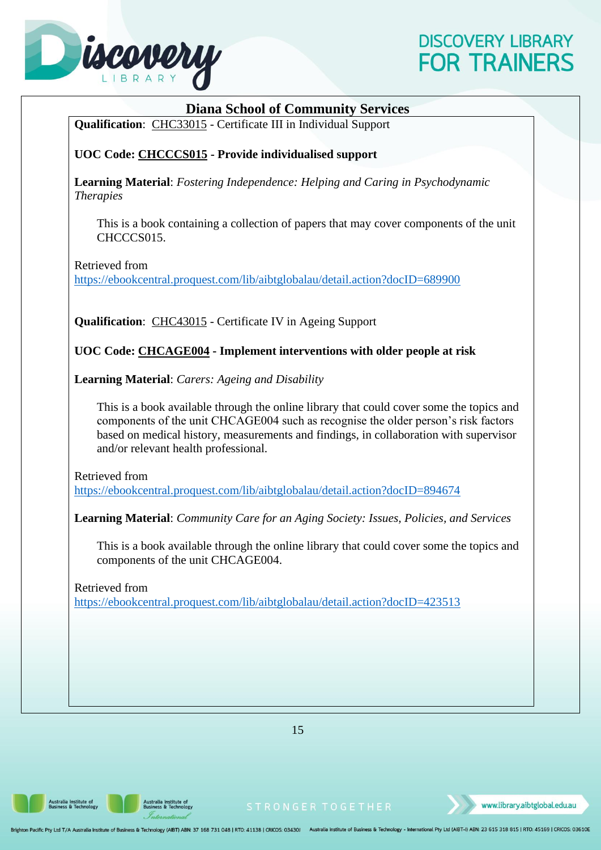

<span id="page-18-2"></span><span id="page-18-1"></span><span id="page-18-0"></span>

|                  | <b>Diana School of Community Services</b>                                                                                                                                                                                                                                                                       |
|------------------|-----------------------------------------------------------------------------------------------------------------------------------------------------------------------------------------------------------------------------------------------------------------------------------------------------------------|
|                  | Qualification: CHC33015 - Certificate III in Individual Support                                                                                                                                                                                                                                                 |
|                  | UOC Code: CHCCCS015 - Provide individualised support                                                                                                                                                                                                                                                            |
| <b>Therapies</b> | <b>Learning Material:</b> Fostering Independence: Helping and Caring in Psychodynamic                                                                                                                                                                                                                           |
|                  | This is a book containing a collection of papers that may cover components of the unit<br>CHCCCS015.                                                                                                                                                                                                            |
|                  | Retrieved from<br>https://ebookcentral.proquest.com/lib/aibtglobalau/detail.action?docID=689900                                                                                                                                                                                                                 |
|                  | <b>Qualification:</b> CHC43015 - Certificate IV in Ageing Support                                                                                                                                                                                                                                               |
|                  | UOC Code: CHCAGE004 - Implement interventions with older people at risk                                                                                                                                                                                                                                         |
|                  | <b>Learning Material:</b> Carers: Ageing and Disability                                                                                                                                                                                                                                                         |
|                  | This is a book available through the online library that could cover some the topics and<br>components of the unit CHCAGE004 such as recognise the older person's risk factors<br>based on medical history, measurements and findings, in collaboration with supervisor<br>and/or relevant health professional. |
|                  | Retrieved from<br>https://ebookcentral.proquest.com/lib/aibtglobalau/detail.action?docID=894674                                                                                                                                                                                                                 |
|                  | Learning Material: Community Care for an Aging Society: Issues, Policies, and Services                                                                                                                                                                                                                          |
|                  | This is a book available through the online library that could cover some the topics and<br>components of the unit CHCAGE004.                                                                                                                                                                                   |
|                  | Retrieved from<br>https://ebookcentral.proquest.com/lib/aibtglobalau/detail.action?docID=423513                                                                                                                                                                                                                 |
|                  |                                                                                                                                                                                                                                                                                                                 |
|                  |                                                                                                                                                                                                                                                                                                                 |
|                  |                                                                                                                                                                                                                                                                                                                 |
|                  |                                                                                                                                                                                                                                                                                                                 |

15

Australia Institute of<br>Business & Technology

Australia Institute of<br>Business & Technology

Brighton Pacific Pty Ltd T/A Australia Institute of Business & Technology (AIBT) ABN: 37 168 731 048 | RTO: 41138 | CRICOS: 03430J Australia Institute of Business & Technology - International Pty Ltd (AIBT-I) ABN: 23 615 3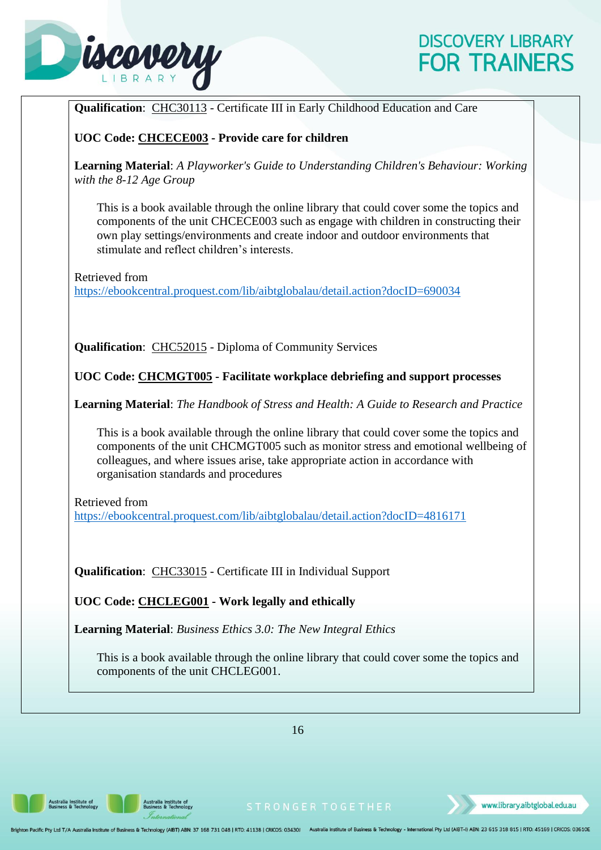

<span id="page-19-1"></span><span id="page-19-0"></span>

16

<span id="page-19-2"></span>Australia Institute of<br>Business & Technology

Australia Institute of<br>Business & Technology

www.library.aibtglobal.edu.au

ghton Pacific Pty Ltd T/A Australia Institute of Business & Technology (AIBT) ABN: 37 168 731 048 | RTO: 41138 | CRICOS: 03430J Australia Institute of Business & Technology - International Pty Ltd (AIBT-I) ABN: 23 615 318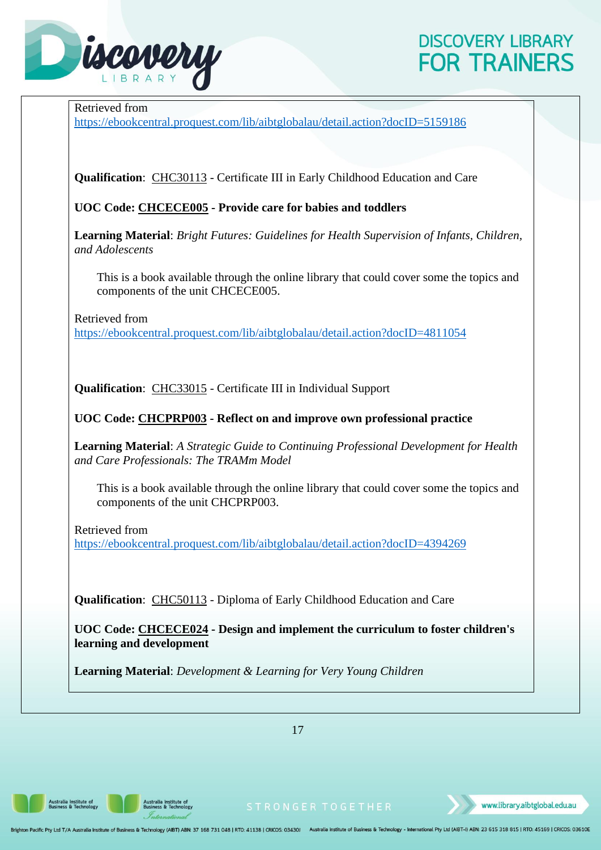

Retrieved from

<https://ebookcentral.proquest.com/lib/aibtglobalau/detail.action?docID=5159186>

**Qualification**: CHC30113 - Certificate III in Early Childhood Education and Care

<span id="page-20-0"></span>**UOC Code: CHCECE005 - Provide care for babies and toddlers**

**Learning Material**: *Bright Futures: Guidelines for Health Supervision of Infants, Children, and Adolescents*

This is a book available through the online library that could cover some the topics and components of the unit CHCECE005.

Retrieved from <https://ebookcentral.proquest.com/lib/aibtglobalau/detail.action?docID=4811054>

**Qualification**: CHC33015 - Certificate III in Individual Support

<span id="page-20-1"></span>**UOC Code: CHCPRP003 - Reflect on and improve own professional practice**

**Learning Material**: *A Strategic Guide to Continuing Professional Development for Health and Care Professionals: The TRAMm Model*

This is a book available through the online library that could cover some the topics and components of the unit CHCPRP003.

Retrieved from <https://ebookcentral.proquest.com/lib/aibtglobalau/detail.action?docID=4394269>

**Qualification**: CHC50113 - Diploma of Early Childhood Education and Care

<span id="page-20-2"></span>**UOC Code: CHCECE024 - Design and implement the curriculum to foster children's learning and development**

**Learning Material**: *Development & Learning for Very Young Children*

17

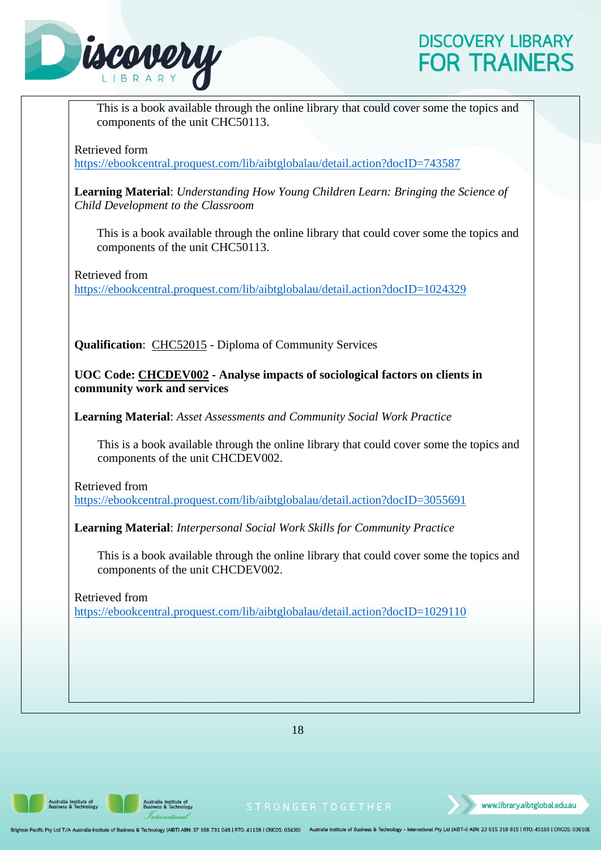

<span id="page-21-0"></span>This is a book available through the online library that could cover some the topics and components of the unit CHC50113. Retrieved form <https://ebookcentral.proquest.com/lib/aibtglobalau/detail.action?docID=743587> **Learning Material**: *Understanding How Young Children Learn: Bringing the Science of Child Development to the Classroom* This is a book available through the online library that could cover some the topics and components of the unit CHC50113. Retrieved from <https://ebookcentral.proquest.com/lib/aibtglobalau/detail.action?docID=1024329> **Qualification**: CHC52015 - Diploma of Community Services **UOC Code: CHCDEV002 - Analyse impacts of sociological factors on clients in community work and services Learning Material**: *Asset Assessments and Community Social Work Practice* This is a book available through the online library that could cover some the topics and components of the unit CHCDEV002. Retrieved from <https://ebookcentral.proquest.com/lib/aibtglobalau/detail.action?docID=3055691> **Learning Material**: *Interpersonal Social Work Skills for Community Practice* This is a book available through the online library that could cover some the topics and components of the unit CHCDEV002. Retrieved from <https://ebookcentral.proquest.com/lib/aibtglobalau/detail.action?docID=1029110>

18

Australia Institute of<br>Business & Technology

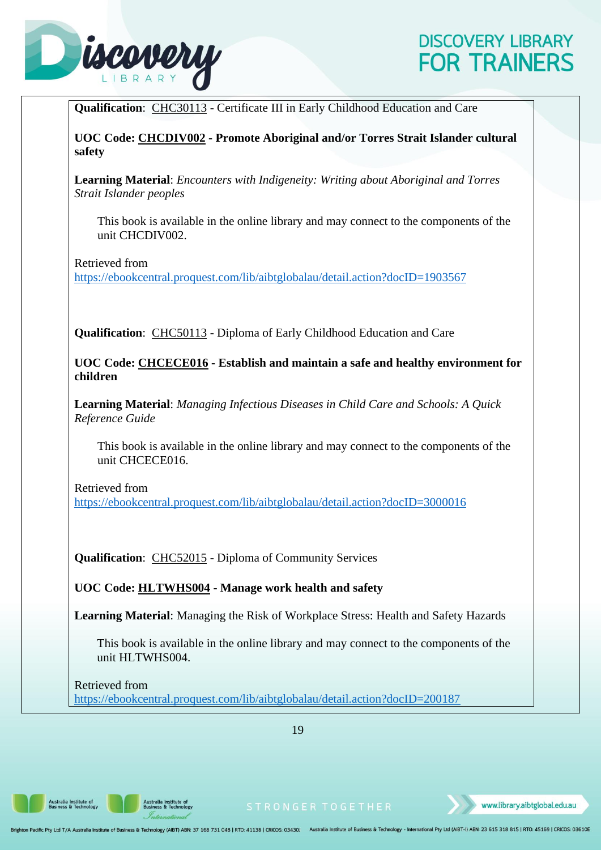

<span id="page-22-1"></span><span id="page-22-0"></span>

| Qualification: CHC30113 - Certificate III in Early Childhood Education and Care                                       |
|-----------------------------------------------------------------------------------------------------------------------|
| UOC Code: CHCDIV002 - Promote Aboriginal and/or Torres Strait Islander cultural<br>safety                             |
| <b>Learning Material:</b> Encounters with Indigeneity: Writing about Aboriginal and Torres<br>Strait Islander peoples |
| This book is available in the online library and may connect to the components of the<br>unit CHCDIV002.              |
| Retrieved from<br>https://ebookcentral.proquest.com/lib/aibtglobalau/detail.action?docID=1903567                      |
| Qualification: CHC50113 - Diploma of Early Childhood Education and Care                                               |
| UOC Code: CHCECE016 - Establish and maintain a safe and healthy environment for<br>children                           |
| <b>Learning Material:</b> Managing Infectious Diseases in Child Care and Schools: A Quick<br>Reference Guide          |
| This book is available in the online library and may connect to the components of the<br>unit CHCECE016.              |
| Retrieved from<br>https://ebookcentral.proquest.com/lib/aibtglobalau/detail.action?docID=3000016                      |
| Qualification: CHC52015 - Diploma of Community Services                                                               |
| UOC Code: HLTWHS004 - Manage work health and safety                                                                   |
| Learning Material: Managing the Risk of Workplace Stress: Health and Safety Hazards                                   |
| This book is available in the online library and may connect to the components of the<br>unit HLTWHS004.              |
| Retrieved from<br>https://ebookcentral.proquest.com/lib/aibtglobalau/detail.action?docID=200187                       |

19

<span id="page-22-2"></span>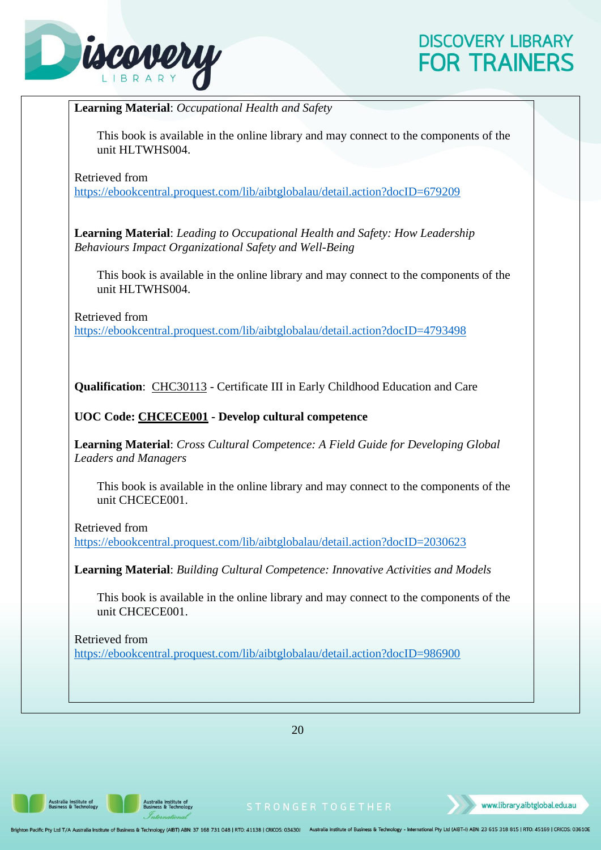

<span id="page-23-0"></span>

20

**Australia Institute of<br>Business & Technology** 

Australia Institute of<br>Business & Technology

www.library.aibtglobal.edu.au

on Pacific Pty Ltd T/A Australia Institute of Business & Technology (AIBT) ABN: 37 168 731 048 | RTO: 41138 | CRICOS: 03430J Australia Institute of Business & Technology - International Pty Ltd (AIBT-I) ABN: 23 615 318 815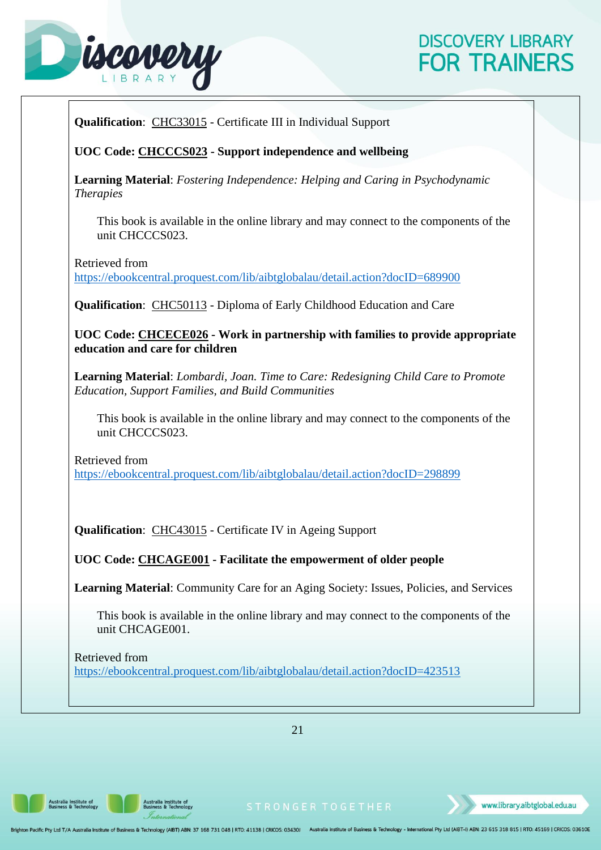

<span id="page-24-1"></span><span id="page-24-0"></span>

| Qualification: CHC33015 - Certificate III in Individual Support<br>This book is available in the online library and may connect to the components of the<br>unit CHCCCS023.                                                                                                                                                                                                                                                                                      |
|------------------------------------------------------------------------------------------------------------------------------------------------------------------------------------------------------------------------------------------------------------------------------------------------------------------------------------------------------------------------------------------------------------------------------------------------------------------|
| UOC Code: CHCCCS023 - Support independence and wellbeing<br><b>Learning Material:</b> Fostering Independence: Helping and Caring in Psychodynamic<br><b>Therapies</b>                                                                                                                                                                                                                                                                                            |
|                                                                                                                                                                                                                                                                                                                                                                                                                                                                  |
| Retrieved from<br>https://ebookcentral.proquest.com/lib/aibtglobalau/detail.action?docID=689900<br><b>Qualification:</b> CHC50113 - Diploma of Early Childhood Education and Care<br>UOC Code: CHCECE026 - Work in partnership with families to provide appropriate<br>education and care for children<br><b>Learning Material:</b> Lombardi, Joan. Time to Care: Redesigning Child Care to Promote<br><b>Education, Support Families, and Build Communities</b> |
|                                                                                                                                                                                                                                                                                                                                                                                                                                                                  |
|                                                                                                                                                                                                                                                                                                                                                                                                                                                                  |
|                                                                                                                                                                                                                                                                                                                                                                                                                                                                  |
|                                                                                                                                                                                                                                                                                                                                                                                                                                                                  |
|                                                                                                                                                                                                                                                                                                                                                                                                                                                                  |
| This book is available in the online library and may connect to the components of the<br>unit CHCCCS023.                                                                                                                                                                                                                                                                                                                                                         |
| Retrieved from<br>https://ebookcentral.proquest.com/lib/aibtglobalau/detail.action?docID=298899                                                                                                                                                                                                                                                                                                                                                                  |
| <b>Qualification:</b> CHC43015 - Certificate IV in Ageing Support                                                                                                                                                                                                                                                                                                                                                                                                |
| UOC Code: CHCAGE001 - Facilitate the empowerment of older people                                                                                                                                                                                                                                                                                                                                                                                                 |
| Learning Material: Community Care for an Aging Society: Issues, Policies, and Services                                                                                                                                                                                                                                                                                                                                                                           |
| This book is available in the online library and may connect to the components of the<br>unit CHCAGE001.                                                                                                                                                                                                                                                                                                                                                         |
| Retrieved from<br>https://ebookcentral.proquest.com/lib/aibtglobalau/detail.action?docID=423513                                                                                                                                                                                                                                                                                                                                                                  |

21

<span id="page-24-2"></span>Australia Institute of<br>Business & Technology

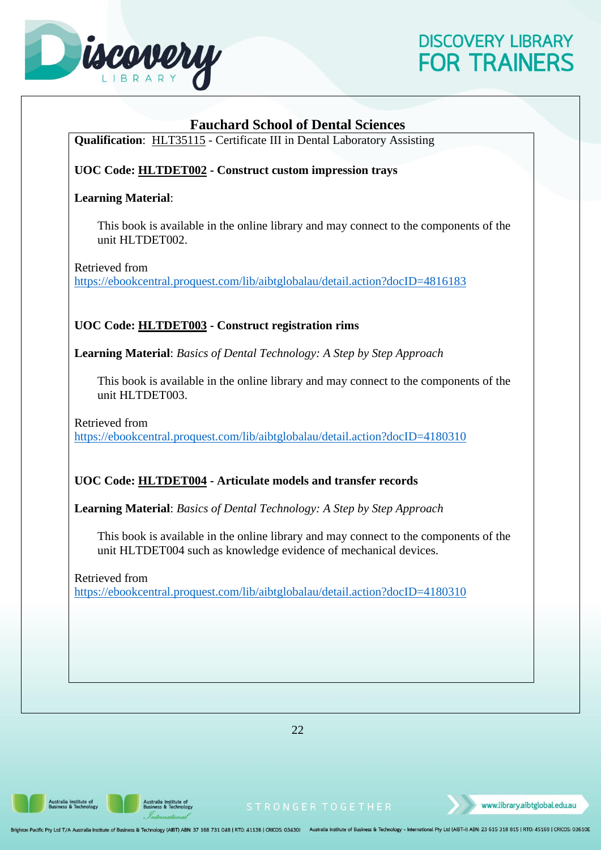

<span id="page-25-2"></span><span id="page-25-1"></span><span id="page-25-0"></span>

| <b>Fauchard School of Dental Sciences</b><br>Qualification: HLT35115 - Certificate III in Dental Laboratory Assisting                                     |
|-----------------------------------------------------------------------------------------------------------------------------------------------------------|
|                                                                                                                                                           |
| UOC Code: HLTDET002 - Construct custom impression trays                                                                                                   |
| <b>Learning Material:</b>                                                                                                                                 |
| This book is available in the online library and may connect to the components of the<br>unit HLTDET002.                                                  |
| Retrieved from<br>https://ebookcentral.proquest.com/lib/aibtglobalau/detail.action?docID=4816183                                                          |
| UOC Code: HLTDET003 - Construct registration rims                                                                                                         |
| <b>Learning Material:</b> Basics of Dental Technology: A Step by Step Approach                                                                            |
| This book is available in the online library and may connect to the components of the<br>unit HLTDET003.                                                  |
| Retrieved from<br>https://ebookcentral.proquest.com/lib/aibtglobalau/detail.action?docID=4180310                                                          |
| UOC Code: HLTDET004 - Articulate models and transfer records                                                                                              |
| <b>Learning Material:</b> Basics of Dental Technology: A Step by Step Approach                                                                            |
| This book is available in the online library and may connect to the components of the<br>unit HLTDET004 such as knowledge evidence of mechanical devices. |
| Retrieved from<br>https://ebookcentral.proquest.com/lib/aibtglobalau/detail.action?docID=4180310                                                          |
|                                                                                                                                                           |
|                                                                                                                                                           |
|                                                                                                                                                           |
|                                                                                                                                                           |
|                                                                                                                                                           |
| 22                                                                                                                                                        |

22

<span id="page-25-3"></span>Australia Institute of<br>Business & Technology

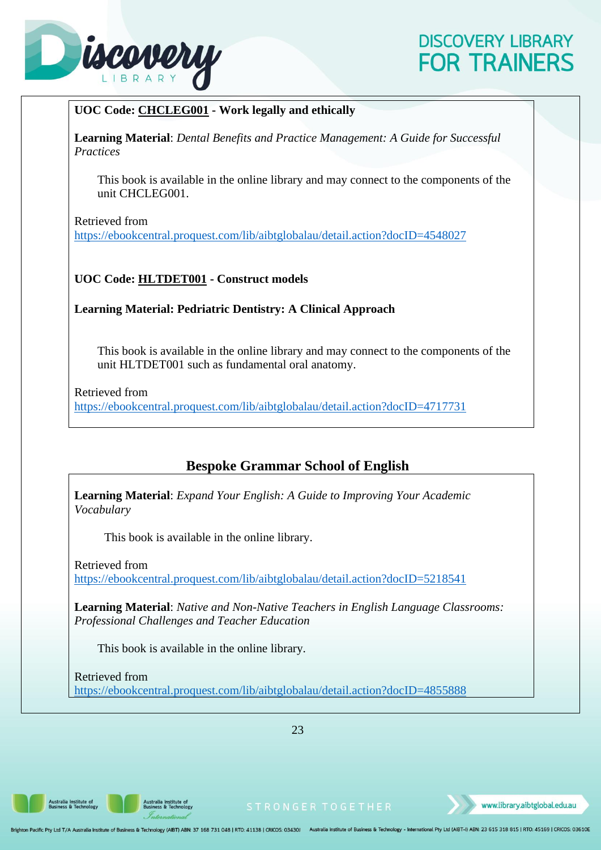

#### <span id="page-26-0"></span>**UOC Code: CHCLEG001 - Work legally and ethically**

**Learning Material**: *Dental Benefits and Practice Management: A Guide for Successful Practices*

This book is available in the online library and may connect to the components of the unit CHCLEG001.

Retrieved from

<https://ebookcentral.proquest.com/lib/aibtglobalau/detail.action?docID=4548027>

#### <span id="page-26-1"></span>**UOC Code: HLTDET001 - Construct models**

#### <span id="page-26-2"></span>**Learning Material: Pedriatric Dentistry: A Clinical Approach**

This book is available in the online library and may connect to the components of the unit HLTDET001 such as fundamental oral anatomy.

Retrieved from <https://ebookcentral.proquest.com/lib/aibtglobalau/detail.action?docID=4717731>

#### **Bespoke Grammar School of English**

<span id="page-26-3"></span>**Learning Material**: *Expand Your English: A Guide to Improving Your Academic Vocabulary*

This book is available in the online library.

Retrieved from <https://ebookcentral.proquest.com/lib/aibtglobalau/detail.action?docID=5218541>

**Learning Material**: *Native and Non-Native Teachers in English Language Classrooms: Professional Challenges and Teacher Education*

This book is available in the online library.

Retrieved from <https://ebookcentral.proquest.com/lib/aibtglobalau/detail.action?docID=4855888>

23

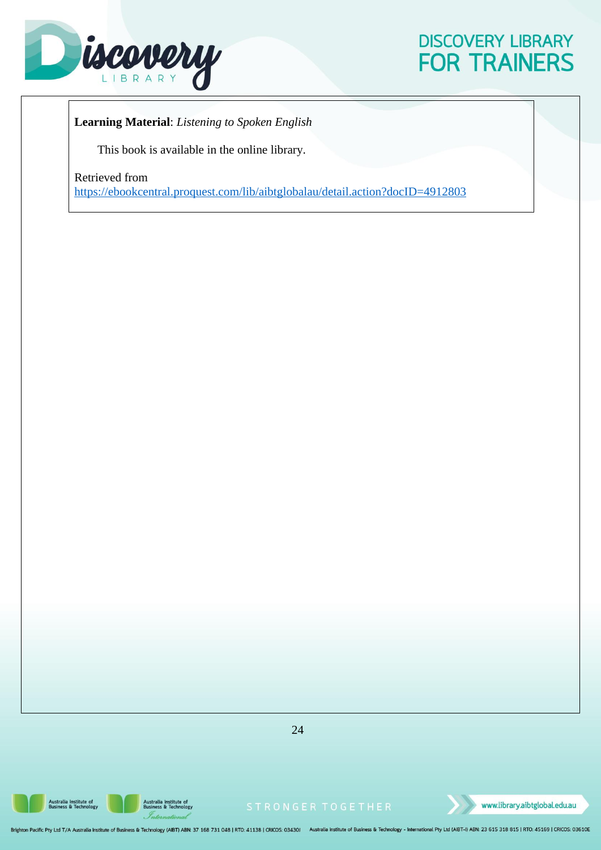

**Learning Material**: *Listening to Spoken English*

This book is available in the online library.

Retrieved from

<https://ebookcentral.proquest.com/lib/aibtglobalau/detail.action?docID=4912803>

24

**Australia Institute of<br>Business & Technology** 



www.library.aibtglobal.edu.au

on Pacific Pty Ltd T/A Australia Institute of Business & Technology (AIBT) ABN: 37 168 731 048 | RTO: 41138 | CRICOS: 03430J Australia Institute of Business & Technology - International Pty Ltd (AIBT-I) ABN: 23 615 318 815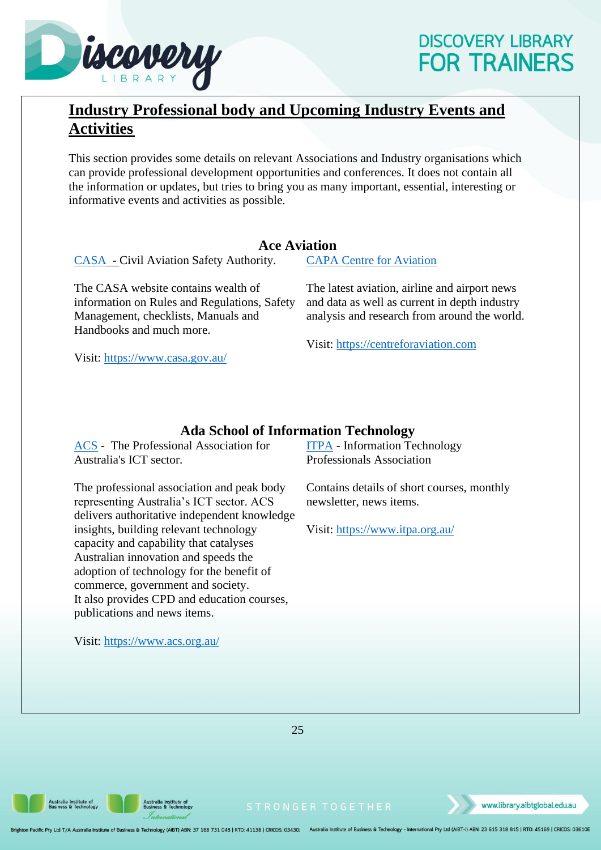

## <span id="page-28-0"></span>**Industry Professional body and Upcoming Industry Events and Activities**

This section provides some details on relevant Associations and Industry organisations which can provide professional development opportunities and conferences. It does not contain all the information or updates, but tries to bring you as many important, essential, interesting or informative events and activities as possible.

#### **Ace Aviation**

<span id="page-28-1"></span>[CASA](https://www.casa.gov.au/) - Civil Aviation Safety Authority.

The CASA website contains wealth of information on Rules and Regulations, Safety Management, checklists, Manuals and Handbooks and much more.

Visit:<https://www.casa.gov.au/>

[CAPA Centre for Aviation](https://centreforaviation.com/)

The latest aviation, airline and airport news and data as well as current in depth industry analysis and research from around the world.

Visit: [https://centreforaviation.com](https://centreforaviation.com/)

#### **Ada School of Information Technology**

<span id="page-28-2"></span>[ACS](https://www.acs.org.au/) - The Professional Association for Australia's ICT sector.

The professional association and peak body representing Australia's ICT sector. ACS delivers authoritative independent knowledge insights, building relevant technology capacity and capability that catalyses Australian innovation and speeds the adoption of technology for the benefit of commerce, government and society. It also provides CPD and education courses, publications and news items.

Visit:<https://www.acs.org.au/>

[ITPA](https://www.itpa.org.au/) - [Information Technology](https://www.itpa.org.au/)  [Professionals Association](https://www.itpa.org.au/)

Contains details of short courses, monthly newsletter, news items.

Visit:<https://www.itpa.org.au/>

25

ustralia Institute of<br>usiness & Technology

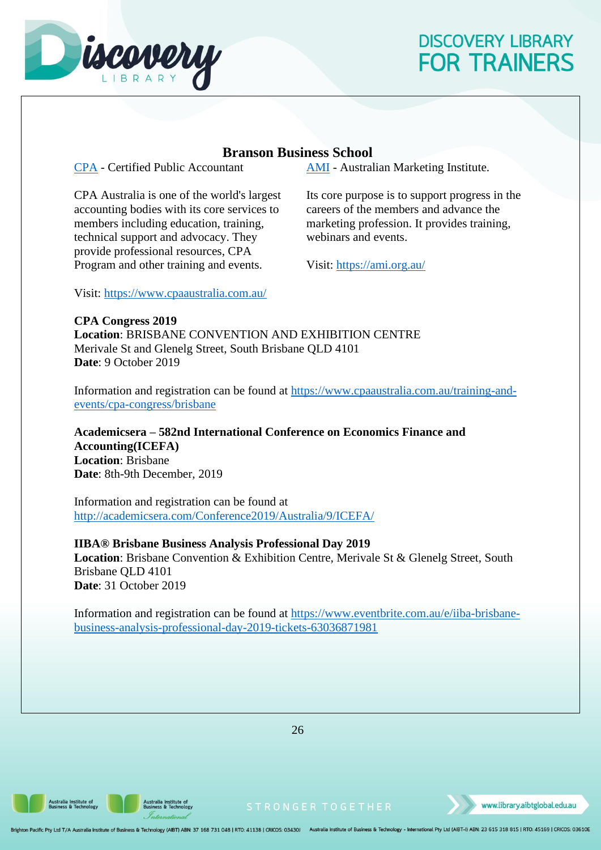

#### **Branson Business School**

<span id="page-29-0"></span>[CPA](https://www.cpaaustralia.com.au/) - Certified Public Accountant

CPA Australia is one of the world's largest accounting bodies with its core services to members including education, training, technical support and advocacy. They provide professional resources, CPA Program and other training and events.

[AMI](https://ami.org.au/) - Australian Marketing Institute.

Its core purpose is to support progress in the careers of the members and advance the marketing profession. It provides training, webinars and events.

Visit:<https://ami.org.au/>

Visit:<https://www.cpaaustralia.com.au/>

**CPA Congress 2019 Location**: BRISBANE CONVENTION AND EXHIBITION CENTRE Merivale St and Glenelg Street, South Brisbane QLD 4101 **Date**: 9 October 2019

Information and registration can be found at [https://www.cpaaustralia.com.au/training-and](https://www.cpaaustralia.com.au/training-and-events/cpa-congress/brisbane)[events/cpa-congress/brisbane](https://www.cpaaustralia.com.au/training-and-events/cpa-congress/brisbane)

**Academicsera – 582nd International Conference on Economics Finance and Accounting(ICEFA) Location**: Brisbane **Date**: 8th-9th December, 2019

Information and registration can be found at <http://academicsera.com/Conference2019/Australia/9/ICEFA/>

#### **IIBA® Brisbane Business Analysis Professional Day 2019**

**Location**: Brisbane Convention & Exhibition Centre, Merivale St & Glenelg Street, South Brisbane QLD 4101 **Date**: 31 October 2019

Information and registration can be found at [https://www.eventbrite.com.au/e/iiba-brisbane](https://www.eventbrite.com.au/e/iiba-brisbane-business-analysis-professional-day-2019-tickets-63036871981)[business-analysis-professional-day-2019-tickets-63036871981](https://www.eventbrite.com.au/e/iiba-brisbane-business-analysis-professional-day-2019-tickets-63036871981)

26

ustralia Institute of<br>usiness & Technology

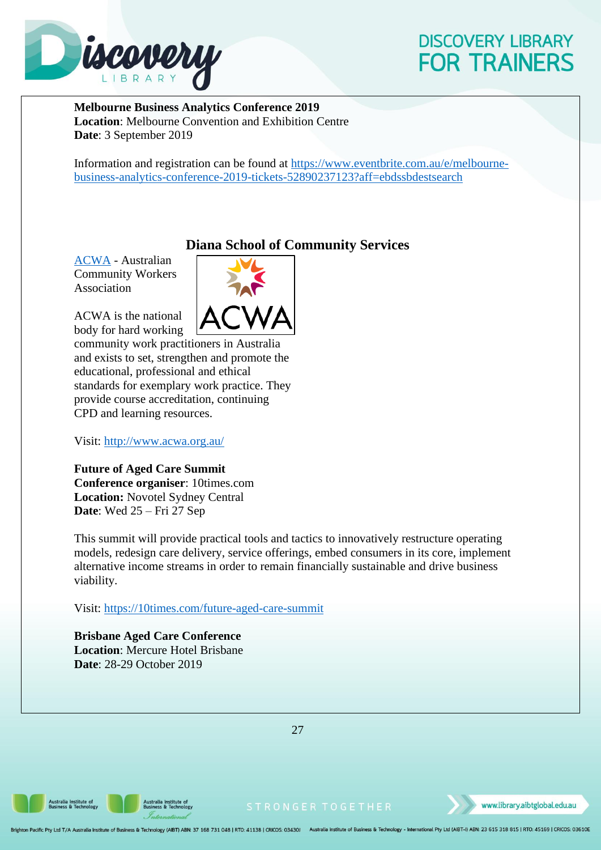

**Melbourne Business Analytics Conference 2019 Location**: Melbourne Convention and Exhibition Centre **Date**: 3 September 2019

Information and registration can be found at [https://www.eventbrite.com.au/e/melbourne](https://www.eventbrite.com.au/e/melbourne-business-analytics-conference-2019-tickets-52890237123?aff=ebdssbdestsearch)[business-analytics-conference-2019-tickets-52890237123?aff=ebdssbdestsearch](https://www.eventbrite.com.au/e/melbourne-business-analytics-conference-2019-tickets-52890237123?aff=ebdssbdestsearch)

#### **Diana School of Community Services**

<span id="page-30-0"></span>[ACWA](http://www.acwa.org.au/) - Australian Community Workers Association

ACWA is the national body for hard working



community work practitioners in Australia and exists to set, strengthen and promote the educational, professional and ethical standards for exemplary work practice. They provide course accreditation, continuing CPD and learning resources.

Visit:<http://www.acwa.org.au/>

**Future of Aged Care Summit Conference organiser**: 10times.com **Location:** Novotel Sydney Central **Date**: Wed 25 – Fri 27 Sep

This summit will provide practical tools and tactics to innovatively restructure operating models, redesign care delivery, service offerings, embed consumers in its core, implement alternative income streams in order to remain financially sustainable and drive business viability.

Visit:<https://10times.com/future-aged-care-summit>

**Brisbane Aged Care Conference Location**: Mercure Hotel Brisbane **Date**: 28-29 October 2019

27

ustralia Institute of<br>usiness & Technology

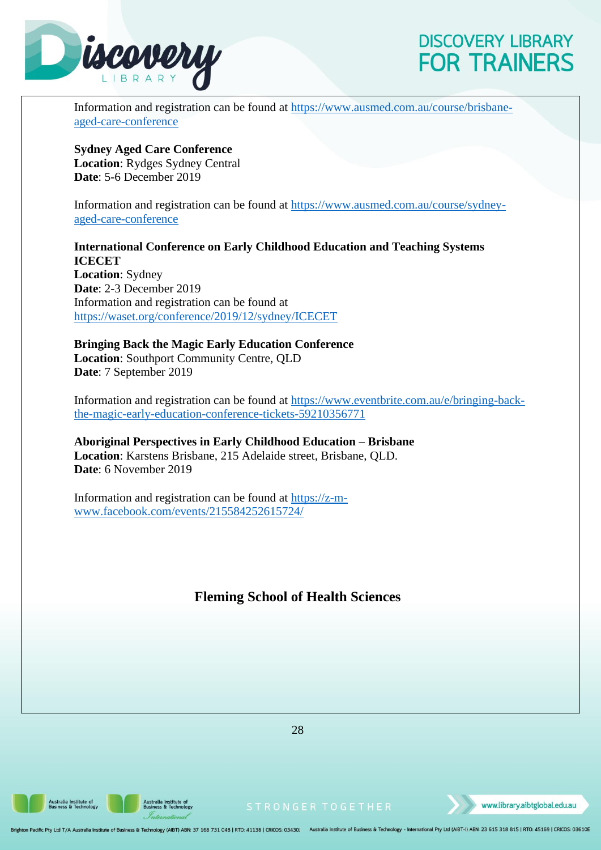

Information and registration can be found at [https://www.ausmed.com.au/course/brisbane](https://www.ausmed.com.au/course/brisbane-aged-care-conference)[aged-care-conference](https://www.ausmed.com.au/course/brisbane-aged-care-conference)

**Sydney Aged Care Conference Location**: Rydges Sydney Central **Date**: 5-6 December 2019

Information and registration can be found at [https://www.ausmed.com.au/course/sydney](https://www.ausmed.com.au/course/sydney-aged-care-conference)[aged-care-conference](https://www.ausmed.com.au/course/sydney-aged-care-conference)

**International Conference on Early Childhood Education and Teaching Systems ICECET Location**: Sydney **Date**: 2-3 December 2019 Information and registration can be found at <https://waset.org/conference/2019/12/sydney/ICECET>

**Bringing Back the Magic Early Education Conference Location**: Southport Community Centre, QLD **Date**: 7 September 2019

Information and registration can be found at [https://www.eventbrite.com.au/e/bringing-back](https://www.eventbrite.com.au/e/bringing-back-the-magic-early-education-conference-tickets-59210356771)[the-magic-early-education-conference-tickets-59210356771](https://www.eventbrite.com.au/e/bringing-back-the-magic-early-education-conference-tickets-59210356771)

**Aboriginal Perspectives in Early Childhood Education – Brisbane Location**: Karstens Brisbane, 215 Adelaide street, Brisbane, QLD. **Date**: 6 November 2019

<span id="page-31-0"></span>Information and registration can be found at [https://z-m](https://z-m-www.facebook.com/events/215584252615724/)[www.facebook.com/events/215584252615724/](https://z-m-www.facebook.com/events/215584252615724/)

#### **Fleming School of Health Sciences**

28

Australia Institute of<br>Business & Technology

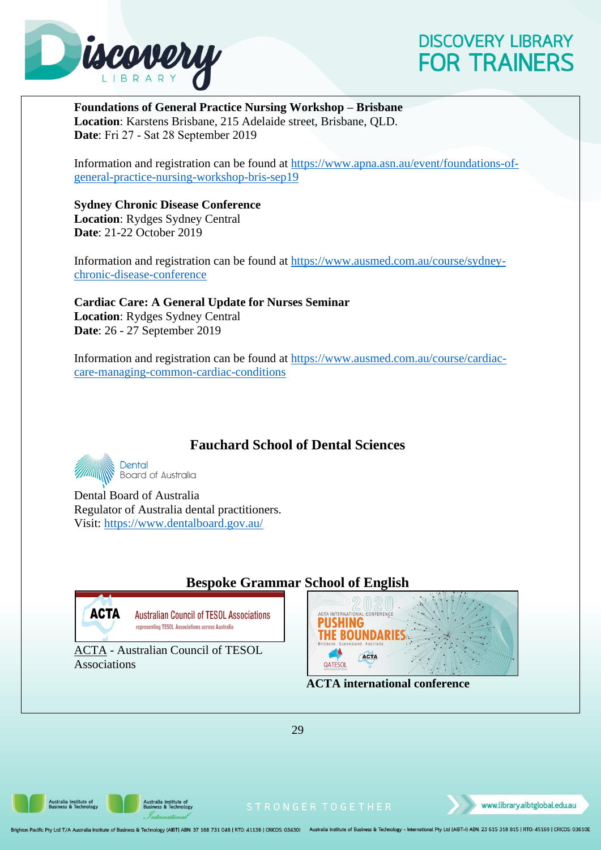

**Foundations of General Practice Nursing Workshop – Brisbane Location**: Karstens Brisbane, 215 Adelaide street, Brisbane, QLD. **Date**: Fri 27 ‐ Sat 28 September 2019

Information and registration can be found at [https://www.apna.asn.au/event/foundations-of](https://www.apna.asn.au/event/foundations-of-general-practice-nursing-workshop-bris-sep19)[general-practice-nursing-workshop-bris-sep19](https://www.apna.asn.au/event/foundations-of-general-practice-nursing-workshop-bris-sep19)

**Sydney Chronic Disease Conference Location**: Rydges Sydney Central **Date**: 21-22 October 2019

Information and registration can be found at [https://www.ausmed.com.au/course/sydney](https://www.ausmed.com.au/course/sydney-chronic-disease-conference)[chronic-disease-conference](https://www.ausmed.com.au/course/sydney-chronic-disease-conference)

**Cardiac Care: A General Update for Nurses Seminar Location**: Rydges Sydney Central **Date**: 26 - 27 September 2019

Information and registration can be found at [https://www.ausmed.com.au/course/cardiac](https://www.ausmed.com.au/course/cardiac-care-managing-common-cardiac-conditions)[care-managing-common-cardiac-conditions](https://www.ausmed.com.au/course/cardiac-care-managing-common-cardiac-conditions)

### **Fauchard School of Dental Sciences**

<span id="page-32-0"></span>Dental **Board of Australia** 

Dental Board of Australia Regulator of Australia dental practitioners. Visit:<https://www.dentalboard.gov.au/>

### **Bespoke Grammar School of English**

<span id="page-32-1"></span>

**Australian Council of TESOL Associations** representing TESOL Associations across Australia

ACTA - Australian Council of TESOL Associations



**ACTA international conference** 

ustralia Institute of<br>usiness & Technology



www.library.aibtglobal.edu.au

29